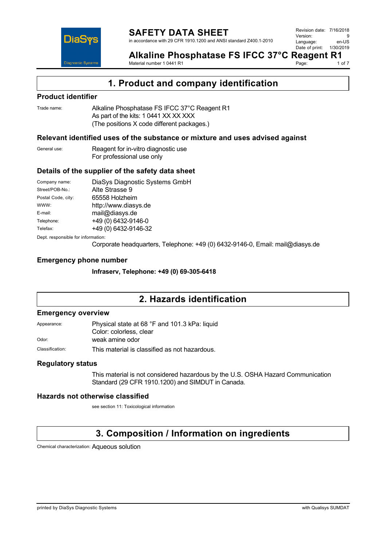

**Alkaline Phosphatase FS IFCC 37°C Reagent R1**<br>Material number 10441 R1<br>10f 7 Material number 1 0441 R1 Page:

**1. Product and company identification**

### **Product identifier**

Trade name: Alkaline Phosphatase FS IFCC 37°C Reagent R1 As part of the kits: 1 0441 XX XX XXX (The positions X code different packages.)

### **Relevant identified uses of the substance or mixture and uses advised against**

General use: Reagent for in-vitro diagnostic use For professional use only

### **Details of the supplier of the safety data sheet**

| Company name:                      | DiaSys Diagnostic Systems GmbH |  |
|------------------------------------|--------------------------------|--|
| Street/POB-No.:                    | Alte Strasse 9                 |  |
| Postal Code, city:                 | 65558 Holzheim                 |  |
| WWW:                               | http://www.diasys.de           |  |
| E-mail:                            | mail@diasys.de                 |  |
| Telephone:                         | +49 (0) 6432-9146-0            |  |
| Telefax:                           | +49 (0) 6432-9146-32           |  |
| Dept. responsible for information: |                                |  |

Corporate headquarters, Telephone: +49 (0) 6432-9146-0, Email: mail@diasys.de

### **Emergency phone number**

**Infraserv, Telephone: +49 (0) 69-305-6418**

## **2. Hazards identification**

### **Emergency overview**

| Appearance:     | Physical state at 68 °F and 101.3 kPa: liquid |
|-----------------|-----------------------------------------------|
|                 | Color: colorless, clear                       |
| Odor:           | weak amine odor                               |
| Classification: | This material is classified as not hazardous. |

### **Regulatory status**

This material is not considered hazardous by the U.S. OSHA Hazard Communication Standard (29 CFR 1910.1200) and SIMDUT in Canada.

### **Hazards not otherwise classified**

see section 11: Toxicological information

# **3. Composition / Information on ingredients**

Chemical characterization: Aqueous solution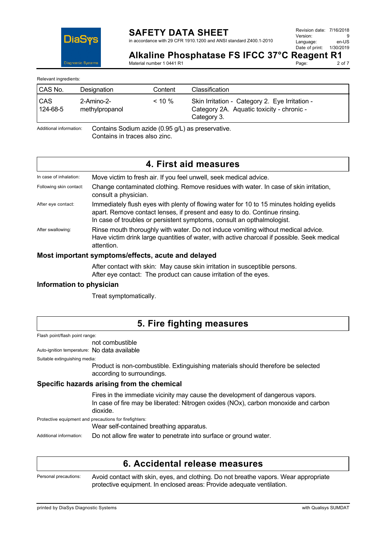

in accordance with 29 CFR 1910.1200 and ANSI standard Z400.1-2010

Page:

**Alkaline Phosphatase FS IFCC 37°C Reagent R1**<br>Material number 1.0441.R1 Material number 1 0441 R1

Relevant ingredients:

| CAS No.                | Designation                           | Content   | Classification                                                                                             |
|------------------------|---------------------------------------|-----------|------------------------------------------------------------------------------------------------------------|
| <b>CAS</b><br>124-68-5 | $2 - A$ mino $-2 -$<br>methylpropanol | $< 10 \%$ | Skin Irritation - Category 2. Eye Irritation -<br>Category 2A. Aquatic toxicity - chronic -<br>Category 3. |

Additional information: Contains Sodium azide (0.95 g/L) as preservative. Contains in traces also zinc.

## **4. First aid measures**

| In case of inhalation:  | Move victim to fresh air. If you feel unwell, seek medical advice.                                                                                                                                                                               |
|-------------------------|--------------------------------------------------------------------------------------------------------------------------------------------------------------------------------------------------------------------------------------------------|
| Following skin contact: | Change contaminated clothing. Remove residues with water. In case of skin irritation,<br>consult a physician.                                                                                                                                    |
| After eye contact:      | Immediately flush eyes with plenty of flowing water for 10 to 15 minutes holding eyelids<br>apart. Remove contact lenses, if present and easy to do. Continue rinsing.<br>In case of troubles or persistent symptoms, consult an opthalmologist. |
| After swallowing:       | Rinse mouth thoroughly with water. Do not induce vomiting without medical advice.<br>Have victim drink large quantities of water, with active charcoal if possible. Seek medical<br>attention.                                                   |

### **Most important symptoms/effects, acute and delayed**

After contact with skin: May cause skin irritation in susceptible persons. After eye contact: The product can cause irritation of the eyes.

### **Information to physician**

Treat symptomatically.

## **5. Fire fighting measures**

Flash point/flash point range:

### not combustible

Auto-ignition temperature: No data available

Suitable extinguishing media:

Product is non-combustible. Extinguishing materials should therefore be selected according to surroundings.

### **Specific hazards arising from the chemical**

Fires in the immediate vicinity may cause the development of dangerous vapors. In case of fire may be liberated: Nitrogen oxides (NOx), carbon monoxide and carbon dioxide.

Protective equipment and precautions for firefighters:

Wear self-contained breathing apparatus.

Additional information: Do not allow fire water to penetrate into surface or ground water.

## **6. Accidental release measures**

Personal precautions: Avoid contact with skin, eyes, and clothing. Do not breathe vapors. Wear appropriate protective equipment. In enclosed areas: Provide adequate ventilation.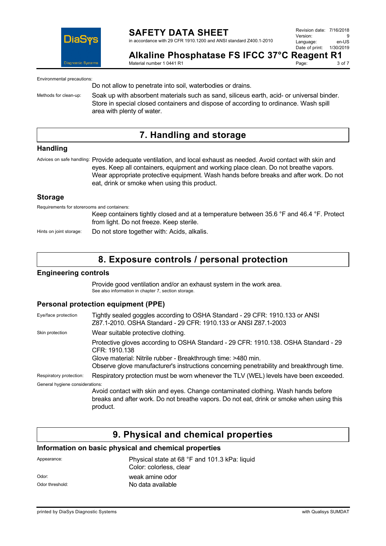

in accordance with 29 CFR 1910.1200 and ANSI standard Z400.1-2010

Revision date: 7/16/2018 Version: 9<br>Language: en-LIS Language: en-US<br>Date of print: 1/30/2019 Date of print:

Page:

**Alkaline Phosphatase FS IFCC 37°C Reagent R1**<br>Material number 1.0441 R1

Material number 1 0441 R1

Environmental precautions:

Do not allow to penetrate into soil, waterbodies or drains.

Methods for clean-up: Soak up with absorbent materials such as sand, siliceus earth, acid- or universal binder. Store in special closed containers and dispose of according to ordinance. Wash spill area with plenty of water.

## **7. Handling and storage**

### **Handling**

Advices on safe handling: Provide adequate ventilation, and local exhaust as needed. Avoid contact with skin and eyes. Keep all containers, equipment and working place clean. Do not breathe vapors. Wear appropriate protective equipment. Wash hands before breaks and after work. Do not eat, drink or smoke when using this product.

### **Storage**

Requirements for storerooms and containers:

Keep containers tightly closed and at a temperature between 35.6 °F and 46.4 °F. Protect from light. Do not freeze. Keep sterile.

Hints on joint storage: Do not store together with: Acids, alkalis.

## **8. Exposure controls / personal protection**

### **Engineering controls**

Provide good ventilation and/or an exhaust system in the work area. See also information in chapter 7, section storage.

### **Personal protection equipment (PPE)**

| Eye/face protection             | Tightly sealed goggles according to OSHA Standard - 29 CFR: 1910.133 or ANSI<br>Z87.1-2010. OSHA Standard - 29 CFR: 1910.133 or ANSI Z87.1-2003                                           |
|---------------------------------|-------------------------------------------------------------------------------------------------------------------------------------------------------------------------------------------|
| Skin protection                 | Wear suitable protective clothing.                                                                                                                                                        |
|                                 | Protective gloves according to OSHA Standard - 29 CFR: 1910.138. OSHA Standard - 29<br>CFR: 1910.138                                                                                      |
|                                 | Glove material: Nitrile rubber - Breakthrough time: >480 min.                                                                                                                             |
|                                 | Observe glove manufacturer's instructions concerning penetrability and breakthrough time.                                                                                                 |
| Respiratory protection:         | Respiratory protection must be worn whenever the TLV (WEL) levels have been exceeded.                                                                                                     |
| General hygiene considerations: |                                                                                                                                                                                           |
|                                 | Avoid contact with skin and eyes. Change contaminated clothing. Wash hands before<br>breaks and after work. Do not breathe vapors. Do not eat, drink or smoke when using this<br>product. |

## **9. Physical and chemical properties**

### **Information on basic physical and chemical properties**

| Appearance:     | Physical state at 68 °F and 101.3 kPa: liquid<br>Color: colorless, clear |
|-----------------|--------------------------------------------------------------------------|
| Odor:           | weak amine odor                                                          |
| Odor threshold: | No data available                                                        |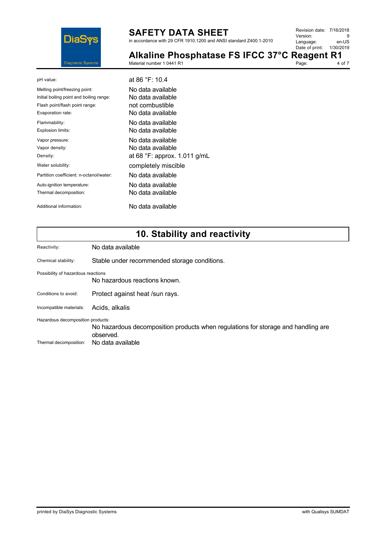

in accordance with 29 CFR 1910.1200 and ANSI standard Z400.1-2010

| Revision date: 7/16/2018 |           |
|--------------------------|-----------|
| Version:                 | q         |
| Language:                | en-US     |
| Date of print:           | 1/30/2019 |
|                          |           |

| Alkaline Phosphatase FS IFCC 37°C Reagent R1 |       |        |
|----------------------------------------------|-------|--------|
| Material number 1 0441 R1                    | Page: | 4 of 7 |

| pH value:                                | at 86 °F: 10.4                        |
|------------------------------------------|---------------------------------------|
| Melting point/freezing point:            | No data available.                    |
| Initial boiling point and boiling range: | No data available                     |
| Flash point/flash point range:           | not combustible                       |
| Evaporation rate:                        | No data available                     |
| Flammability:                            | No data available.                    |
| Explosion limits:                        | No data available                     |
| Vapor pressure:                          | No data available.                    |
| Vapor density:                           | No data available                     |
| Density:                                 | at 68 $\degree$ F: approx. 1.011 g/mL |
| Water solubility:                        | completely miscible                   |
| Partition coefficient: n-octanol/water:  | No data available                     |
| Auto-ignition temperature:               | No data available.                    |
| Thermal decomposition:                   | No data available                     |
| Additional information:                  | No data available                     |

# **10. Stability and reactivity**

| Reactivity:                        | No data available                                                                              |
|------------------------------------|------------------------------------------------------------------------------------------------|
| Chemical stability:                | Stable under recommended storage conditions.                                                   |
| Possibility of hazardous reactions | No hazardous reactions known.                                                                  |
| Conditions to avoid:               | Protect against heat /sun rays.                                                                |
| Incompatible materials:            | Acids, alkalis                                                                                 |
| Hazardous decomposition products:  | No hazardous decomposition products when regulations for storage and handling are<br>observed. |
| Thermal decomposition:             | No data available                                                                              |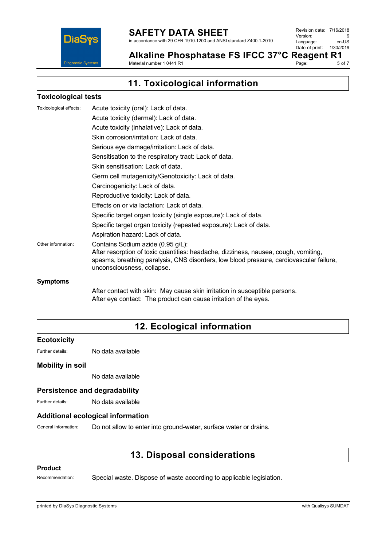

in accordance with 29 CFR 1910.1200 and ANSI standard Z400.1-2010

Revision date: 7/16/2018 Version: 9<br>Language: en-US Language: en-US<br>Date of print: 1/30/2019  $Date$  of print:

Alkaline Phosphatase FS IFCC 37°C Reagent R1<br>Material number 1 0441 R1 Material number 1 0441 R1

5 of 7

**11. Toxicological information**

### **Toxicological tests**

| Toxicological effects: | Acute toxicity (oral): Lack of data.                                                                                                                                                                         |
|------------------------|--------------------------------------------------------------------------------------------------------------------------------------------------------------------------------------------------------------|
|                        | Acute toxicity (dermal): Lack of data.                                                                                                                                                                       |
|                        | Acute toxicity (inhalative): Lack of data.                                                                                                                                                                   |
|                        | Skin corrosion/irritation: Lack of data.                                                                                                                                                                     |
|                        | Serious eye damage/irritation: Lack of data.                                                                                                                                                                 |
|                        | Sensitisation to the respiratory tract: Lack of data.                                                                                                                                                        |
|                        | Skin sensitisation: Lack of data.                                                                                                                                                                            |
|                        | Germ cell mutagenicity/Genotoxicity: Lack of data.                                                                                                                                                           |
|                        | Carcinogenicity: Lack of data.                                                                                                                                                                               |
|                        | Reproductive toxicity: Lack of data.                                                                                                                                                                         |
|                        | Effects on or via lactation: Lack of data.                                                                                                                                                                   |
|                        | Specific target organ toxicity (single exposure): Lack of data.                                                                                                                                              |
|                        | Specific target organ toxicity (repeated exposure): Lack of data.                                                                                                                                            |
|                        | Aspiration hazard: Lack of data.                                                                                                                                                                             |
| Other information:     | Contains Sodium azide (0.95 g/L):                                                                                                                                                                            |
|                        | After resorption of toxic quantities: headache, dizziness, nausea, cough, vomiting,<br>spasms, breathing paralysis, CNS disorders, low blood pressure, cardiovascular failure,<br>unconsciousness, collapse. |
| <b>Symptoms</b>        |                                                                                                                                                                                                              |

After contact with skin: May cause skin irritation in susceptible persons. After eye contact: The product can cause irritation of the eyes.

# **12. Ecological information**

### **Ecotoxicity**

Further details: No data available

### **Mobility in soil**

No data available

### **Persistence and degradability**

Further details: No data available

### **Additional ecological information**

General information: Do not allow to enter into ground-water, surface water or drains.

## **13. Disposal considerations**

### **Product**

Recommendation: Special waste. Dispose of waste according to applicable legislation.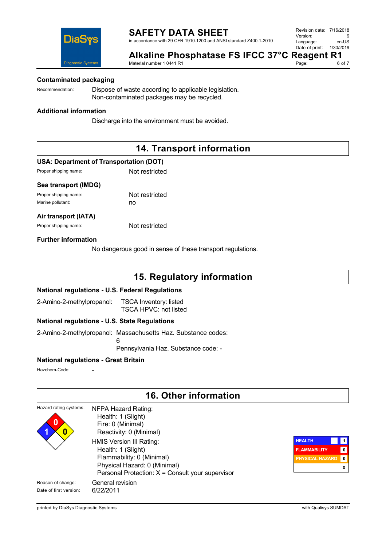in accordance with 29 CFR 1910.1200 and ANSI standard Z400.1-2010

| Revision date: 7/16/2018 |           |
|--------------------------|-----------|
| Version:                 | 9         |
| Language:                | en-US     |
| Date of print:           | 1/30/2019 |



**Alkaline Phosphatase FS IFCC 37°C Reagent R1**<br>Material number 1 0441 R1 Material number 1 0441 R1

Page:

### **Contaminated packaging**

Recommendation: Dispose of waste according to applicable legislation. Non-contaminated packages may be recycled.

### **Additional information**

Discharge into the environment must be avoided.

## **14. Transport information**

### **USA: Department of Transportation (DOT)**

Proper shipping name: Not restricted

### **Sea transport (IMDG)**

Proper shipping name: Not restricted Marine pollutant: no

### **Air transport (IATA)**

Proper shipping name: Not restricted

### **Further information**

No dangerous good in sense of these transport regulations.

### **15. Regulatory information**

### **National regulations - U.S. Federal Regulations**

2-Amino-2-methylpropanol: TSCA Inventory: listed TSCA HPVC: not listed

6

### **National regulations - U.S. State Regulations**

2-Amino-2-methylpropanol: Massachusetts Haz. Substance codes:

Pennsylvania Haz. Substance code: -

### **National regulations - Great Britain**

Hazchem-Code:

## **16. Other information**

| Hazard rating systems:<br>$\bf{0}$<br>0     | NFPA Hazard Rating:<br>Health: 1 (Slight)<br>Fire: 0 (Minimal)<br>Reactivity: 0 (Minimal)                                                                         |                                                                |                                |
|---------------------------------------------|-------------------------------------------------------------------------------------------------------------------------------------------------------------------|----------------------------------------------------------------|--------------------------------|
|                                             | HMIS Version III Rating:<br>Health: 1 (Slight)<br>Flammability: 0 (Minimal)<br>Physical Hazard: 0 (Minimal)<br>Personal Protection: $X =$ Consult your supervisor | <b>HEALTH</b><br><b>FLAMMABILITY</b><br><b>PHYSICAL HAZARD</b> | $\mathbf{0}$<br>$\vert$ 0<br>х |
| Reason of change:<br>Date of first version: | General revision<br>6/22/2011                                                                                                                                     |                                                                |                                |